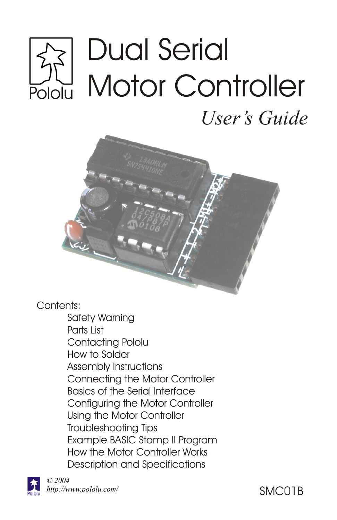# Dual Serial Motor Controller **ulolc**

*User's Guide*



Contents:

Safety Warning Parts List Contacting Pololu How to Solder Assembly Instructions Connecting the Motor Controller Basics of the Serial Interface Configuring the Motor Controller Using the Motor Controller Troubleshooting Tips Example BASIC Stamp II Program How the Motor Controller Works Description and Specifications

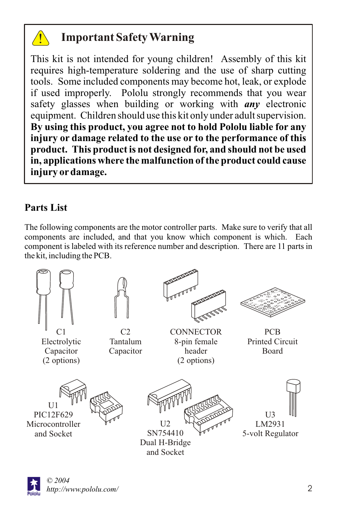

# **Important Safety Warning**

This kit is not intended for young children! Assembly of this kit requires high-temperature soldering and the use of sharp cutting tools. Some included components may become hot, leak, or explode if used improperly. Pololu strongly recommends that you wear safety glasses when building or working with *any* electronic equipment. Children should use this kit only under adult supervision. **By using this product, you agree not to hold Pololu liable for any injury or damage related to the use or to the performance of this product. This product is not designed for, and should not be used in, applications where the malfunction of the product could cause injury ordamage.**

## **Parts List**

The following components are the motor controller parts. Make sure to verify that all components are included, and that you know which component is which. Each component is labeled with its reference number and description. There are 11 parts in the kit, including the PCB.



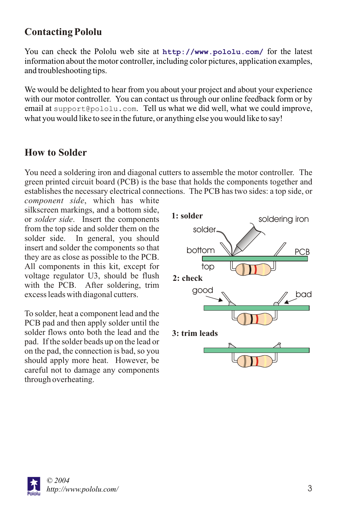## **Contacting Pololu**

You can check the Pololu web site at http://www.pololu.com/ for the latest information about the motor controller, including color pictures, application examples, and troubleshooting tips.

We would be delighted to hear from you about your project and about your experience with our motor controller. You can contact us through our online feedback form or by email at support@pololu.com. Tell us what we did well, what we could improve, what you would like to see in the future, or anything else you would like to say!

## **How to Solder**

You need a soldering iron and diagonal cutters to assemble the motor controller. The green printed circuit board (PCB) is the base that holds the components together and establishes the necessary electrical connections. The PCB has two sides: a top side, or

*component side*, which has white silkscreen markings, and a bottom side, or *solder side*. Insert the components from the top side and solder them on the solder side. In general, you should insert and solder the components so that they are as close as possible to the PCB. All components in this kit, except for voltage regulator U3, should be flush with the PCB. After soldering, trim excess leads with diagonal cutters.

To solder, heat a component lead and the PCB pad and then apply solder until the solder flows onto both the lead and the pad. If the solder beads up on the lead or on the pad, the connection is bad, so you should apply more heat. However, be careful not to damage any components through overheating.



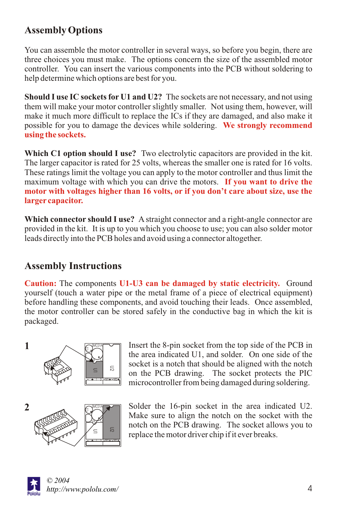# **Assembly Options**

You can assemble the motor controller in several ways, so before you begin, there are three choices you must make. The options concern the size of the assembled motor controller. You can insert the various components into the PCB without soldering to help determine which options are best for you.

**Should I use IC sockets for U1 and U2?** The sockets are not necessary, and not using them will make your motor controller slightly smaller. Not using them, however, will make it much more difficult to replace the ICs if they are damaged, and also make it possible for you to damage the devices while soldering. **We strongly recommend using the sockets.**

**Which C1 option should I use?** Two electrolytic capacitors are provided in the kit. The larger capacitor is rated for 25 volts, whereas the smaller one is rated for 16 volts. These ratings limit the voltage you can apply to the motor controller and thus limit the maximum voltage with which you can drive the motors. **If you want to drive the motor with voltages higher than 16 volts, or if you don't care about size, use the larger capacitor.**

**Which connector should I use?** A straight connector and a right-angle connector are provided in the kit. It is up to you which you choose to use; you can also solder motor leads directly into the PCB holes and avoid using a connector altogether.

## **Assembly Instructions**

**Caution:** The components **U1-U3 can be damaged by static electricity.** Ground yourself (touch a water pipe or the metal frame of a piece of electrical equipment) before handling these components, and avoid touching their leads. Once assembled, the motor controller can be stored safely in the conductive bag in which the kit is packaged.



Insert the 8-pin socket from the top side of the PCB in the area indicated U1, and solder. On one side of the socket is a notch that should be aligned with the notch on the PCB drawing. The socket protects the PIC microcontroller from being damaged during soldering.

Solder the 16-pin socket in the area indicated U2. Make sure to align the notch on the socket with the notch on the PCB drawing. The socket allows you to replace the motor driver chip if it ever breaks.

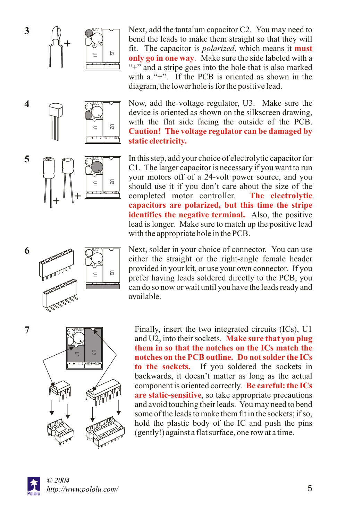**4**

**5**



 $\sum_{\alpha}$ MCUIA GI. Ų3∑

> ន =  $\equiv$   $\equiv$  $11$ 1 2 M1 M2

Next, add the tantalum capacitor C2. You may need to bend the leads to make them straight so that they will fit. The capacitor is *polarized*, which means it **must**  only go in one way. Make sure the side labeled with a "+" and a stripe goes into the hole that is also marked with a "+". If the PCB is oriented as shown in the diagram, the lower hole is for the positive lead.

Now, add the voltage regulator, U3. Make sure the device is oriented as shown on the silkscreen drawing, with the flat side facing the outside of the PCB. **Caution! The voltage regulator can be damaged by static electricity.**

 $\sum_{i=1}^{\infty}$ GI. U3 — ន  $\equiv$   $\equiv$  $11$ 1 2 M1 M2 **<sup>+</sup> <sup>+</sup>**

In this step, add your choice of electrolytic capacitor for C1. The larger capacitor is necessary if you want to run your motors off of a 24-volt power source, and you should use it if you don't care about the size of the completed motor controller. **identifies the negative terminal.** Also, the positive lead is longer. Make sure to match up the positive lead with the appropriate hole in the PCB. **The electrolytic capacitors are polarized, but this time the stripe** 



Next, solder in your choice of connector. You can use either the straight or the right-angle female header provided in your kit, or use your own connector. If you prefer having leads soldered directly to the PCB, you can do so now or wait until you have the leads ready and available.



Finally, insert the two integrated circuits (ICs), U1 and U2, into their sockets. **Make sure that you plug to the sockets.** If you soldered the sockets in backwards, it doesn't matter as long as the actual component is oriented correctly. **Be careful: the ICs**  are static-sensitive, so take appropriate precautions and avoid touching their leads. You may need to bend some of the leads to make them fit in the sockets; if so, hold the plastic body of the IC and push the pins (gently!) against a flat surface, one row at a time. **them in so that the notches on the ICs match the notches on the PCB outline. Do not solder the ICs** 



**7**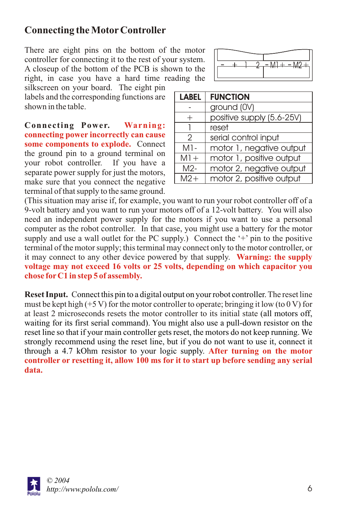## **Connecting the MotorController**

There are eight pins on the bottom of the motor controller for connecting it to the rest of your system. A closeup of the bottom of the PCB is shown to the right, in case you have a hard time reading the

silkscreen on your board. The eight pin labels and the corresponding functions are shown in the table.

**Connecting Power.** some components to explode. Connect the ground pin to a ground terminal on your robot controller. If you have a separate power supply for just the motors, make sure that you connect the negative terminal of that supply to the same ground. **Warning: connecting power incorrectly can cause** 



| <b>LABEL</b>  | <b>FUNCTION</b>           |  |
|---------------|---------------------------|--|
|               | ground (0V)               |  |
|               | positive supply (5.6-25V) |  |
|               | reset                     |  |
| $\mathcal{P}$ | serial control input      |  |
| M1-           | motor 1, negative output  |  |
| $M1 +$        | motor 1, positive output  |  |
| M2-           | motor 2, negative output  |  |
| $M2+$         | motor 2, positive output  |  |

(This situation may arise if, for example, you want to run your robot controller off of a 9-volt battery and you want to run your motors off of a 12-volt battery. You will also need an independent power supply for the motors if you want to use a personal computer as the robot controller. In that case, you might use a battery for the motor supply and use a wall outlet for the PC supply.) Connect the  $+$  pin to the positive terminal of the motor supply; this terminal may connect only to the motor controller, or it may connect to any other device powered by that supply. **Warning: the supply voltage may not exceed 16 volts or 25 volts, depending on which capacitor you chose forC1 in step 5 of assembly.**

**Reset Input.** Connect this pin to a digital output on your robot controller. The reset line must be kept high  $(+5 V)$  for the motor controller to operate; bringing it low (to 0 V) for at least 2 microseconds resets the motor controller to its initial state (all motors off, waiting for its first serial command). You might also use a pull-down resistor on the reset line so that if your main controller gets reset, the motors do not keep running. We strongly recommend using the reset line, but if you do not want to use it, connect it through a 4.7 kOhm resistor to your logic supply. **After turning on the motor controller or resetting it, allow 100 ms for it to start up before sending any serial data.**

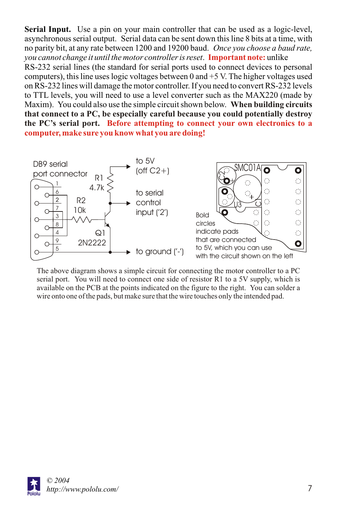**Serial Input.** Use a pin on your main controller that can be used as a logic-level, asynchronous serial output. Serial data can be sent down this line 8 bits at a time, with no parity bit, at any rate between 1200 and 19200 baud. *Once you choose a baud rate, you cannot change it until the motor controller is reset.* Important note: unlike RS-232 serial lines (the standard for serial ports used to connect devices to personal computers), this line uses logic voltages between  $0$  and  $+5$  V. The higher voltages used on RS-232 lines will damage the motor controller. If you need to convert RS-232 levels to TTL levels, you will need to use a level converter such as the MAX220 (made by Maxim). You could also use the simple circuit shown below. **When building circuits Before attempting to connect your own electronics to a the PC's serial port. computer, make sure you know what you are doing! that connect to a PC, be especially careful because you could potentially destroy** 



The above diagram shows a simple circuit for connecting the motor controller to a PC serial port. You will need to connect one side of resistor R1 to a 5V supply, which is available on the PCB at the points indicated on the figure to the right. You can solder a wire onto one of the pads, but make sure that the wire touches only the intended pad.

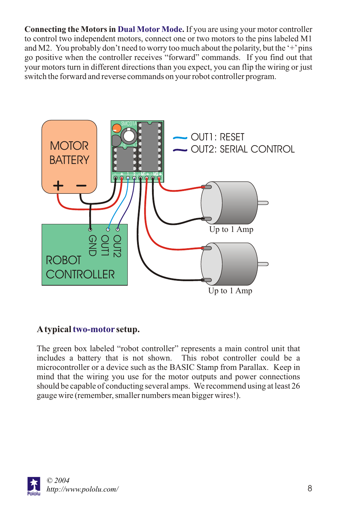**Connecting the Motors in Dual Motor Mode.** If you are using your motor controller to control two independent motors, connect one or two motors to the pins labeled M1 and M2. You probably don't need to worry too much about the polarity, but the  $+$  pins go positive when the controller receives "forward" commands. If you find out that your motors turn in different directions than you expect, you can flip the wiring or just switch the forward and reverse commands on your robot controller program.



#### A typical two-motor setup.

The green box labeled "robot controller" represents a main control unit that includes a battery that is not shown. This robot controller could be a microcontroller or a device such as the BASIC Stamp from Parallax. Keep in mind that the wiring you use for the motor outputs and power connections should be capable of conducting several amps. We recommend using at least 26 gauge wire (remember, smaller numbers mean bigger wires!).

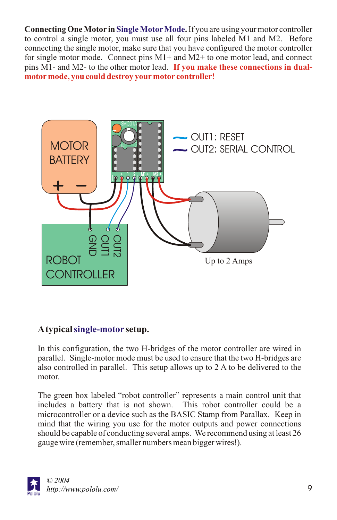**Connecting One Motor in Single Motor Mode.** If you are using your motor controller to control a single motor, you must use all four pins labeled M1 and M2. Before connecting the single motor, make sure that you have configured the motor controller for single motor mode. Connect pins  $M1+$  and  $M2+$  to one motor lead, and connect pins M1- and M2- to the other motor lead. **If you make these connections in dualmotormode, you could destroy yourmotor controller!**



#### A typical single-motor setup.

In this configuration, the two H-bridges of the motor controller are wired in parallel. Single-motor mode must be used to ensure that the two H-bridges are also controlled in parallel. This setup allows up to 2 A to be delivered to the motor.

The green box labeled "robot controller" represents a main control unit that includes a battery that is not shown. This robot controller could be a microcontroller or a device such as the BASIC Stamp from Parallax. Keep in mind that the wiring you use for the motor outputs and power connections should be capable of conducting several amps. We recommend using at least 26 gauge wire (remember, smaller numbers mean bigger wires!).

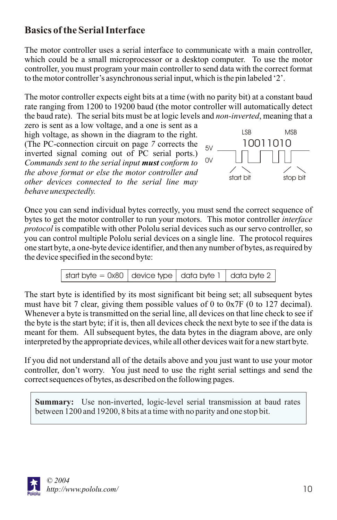## **Basics of the Serial Interface**

The motor controller uses a serial interface to communicate with a main controller, which could be a small microprocessor or a desktop computer. To use the motor controller, you must program your main controller to send data with the correct format to the motor controller's asynchronous serial input, which is the pin labeled '2'.

The motor controller expects eight bits at a time (with no parity bit) at a constant baud rate ranging from 1200 to 19200 baud (the motor controller will automatically detect the baud rate). The serial bits must be at logic levels and *non-inverted*, meaning that a

zero is sent as a low voltage, and a one is sent as a high voltage, as shown in the diagram to the right. (The PC-connection circuit on page *7* corrects the inverted signal coming out of PC serial ports.) *Commands sent to the serial input must conform to the above format or else the motor controller and other devices connected to the serial line may behave unexpectedly.*



Once you can send individual bytes correctly, you must send the correct sequence of bytes to get the motor controller to run your motors. This motor controller *interface protocol*is compatible with other Pololu serial devices such as our servo controller, so you can control multiple Pololu serial devices on a single line. The protocol requires one start byte, a one-byte device identifier, and then any number of bytes, as required by the device specified in the second byte:



The start byte is identified by its most significant bit being set; all subsequent bytes must have bit 7 clear, giving them possible values of 0 to 0x7F (0 to 127 decimal). Whenever a byte is transmitted on the serial line, all devices on that line check to see if the byte is the start byte; if it is, then all devices check the next byte to see if the data is meant for them. All subsequent bytes, the data bytes in the diagram above, are only interpreted by the appropriate devices, while all other devices wait for a new start byte.

If you did not understand all of the details above and you just want to use your motor controller, don't worry. You just need to use the right serial settings and send the correct sequences of bytes, as described on the following pages.

**Summary:** Use non-inverted, logic-level serial transmission at baud rates between 1200 and 19200, 8 bits at a time with no parity and one stop bit.

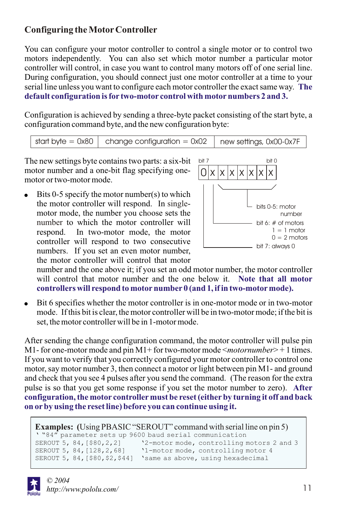#### **Configuring the MotorController**

You can configure your motor controller to control a single motor or to control two motors independently. You can also set which motor number a particular motor controller will control, in case you want to control many motors off of one serial line. During configuration, you should connect just one motor controller at a time to your serial line unless you want to configure each motor controller the exact same way. **The default configuration is for two-motor control with motornumbers 2 and 3.**

Configuration is achieved by sending a three-byte packet consisting of the start byte, a configuration command byte, and the new configuration byte:

start byte =  $0x80$  change configuration =  $0x02$  new settings, 0x00-0x7F

The new settings byte contains two parts: a six-bit motor number and a one-bit flag specifying onemotor or two-motor mode.

Bits 0-5 specify the motor number(s) to which the motor controller will respond. In singlemotor mode, the number you choose sets the number to which the motor controller will respond. In two-motor mode, the motor controller will respond to two consecutive numbers. If you set an even motor number, the motor controller will control that motor



number and the one above it; if you set an odd motor number, the motor controller will control that motor number and the one below it. **Note that all motor controllers will respond to motornumber 0 (and 1, if in two-motormode).**

• Bit 6 specifies whether the motor controller is in one-motor mode or in two-motor mode. If this bit is clear, the motor controller will be in two-motor mode; if the bit is set, the motor controller will be in 1-motor mode.

After sending the change configuration command, the motor controller will pulse pin M1- for one-motor mode and pin M1+ for two-motor mode <*motornumber*> + 1 times. If you want to verify that you correctly configured your motor controller to control one motor, say motor number 3, then connect a motor or light between pin M1- and ground and check that you see 4 pulses after you send the command. (The reason for the extra pulse is so that you get some response if you set the motor number to zero). **After configuration, the motor controllermust be reset (eitherby turning it off and back on orby using the reset line) before you can continue using it.**

```
Examples: (Using PBASIC "SEROUT" command with serial line on pin 5)
' "84" parameter sets up 9600 baud serial communication
                           '2-motor mode, controlling motors 2 and 3
                           '1-motor mode, controlling motor 4
SEROUT 5, 84,[$80,$2,$44] 'same as above, using hexadecimal
```
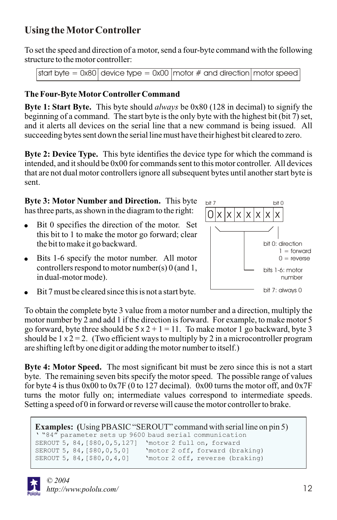# **Using the MotorController**

To set the speed and direction of a motor, send a four-byte command with the following structure to the motor controller:

```
start byte = 0x80 device type = 0x00 motor # and direction motor speed
```
#### **The Four-Byte MotorControllerCommand**

**Byte 1: Start Byte.** This byte should *always* be 0x80 (128 in decimal) to signify the beginning of a command. The start byte is the only byte with the highest bit (bit 7) set, and it alerts all devices on the serial line that a new command is being issued. All succeeding bytes sent down the serial line must have their highest bit cleared to zero.

**Byte 2: Device Type.** This byte identifies the device type for which the command is intended, and it should be 0x00 for commands sent to this motor controller. All devices that are not dual motor controllers ignore all subsequent bytes until another start byte is sent.

**Byte 3: Motor Number and Direction.** This byte has three parts, as shown in the diagram to the right:

- $\bullet$  Bit 0 specifies the direction of the motor. Set this bit to 1 to make the motor go forward; clear the bit to make it go backward.
- Bits 1-6 specify the motor number. All motor controllers respond to motor number(s) 0 (and 1, in dual-motor mode).



Bit 7 must be cleared since this is not a start byte.

To obtain the complete byte 3 value from a motor number and a direction, multiply the motor number by 2 and add 1 if the direction is forward. For example, to make motor 5 go forward, byte three should be  $5 \times 2 + 1 = 11$ . To make motor 1 go backward, byte 3 should be  $1 \times 2 = 2$ . (Two efficient ways to multiply by 2 in a microcontroller program are shifting left by one digit or adding the motor number to itself.)

**Byte 4: Motor Speed.** The most significant bit must be zero since this is not a start byte. The remaining seven bits specify the motor speed. The possible range of values for byte 4 is thus  $0x00$  to  $0x7F$  (0 to 127 decimal). 0x00 turns the motor off, and  $0x7F$ turns the motor fully on; intermediate values correspond to intermediate speeds. Setting a speed of 0 in forward or reverse will cause the motor controller to brake.

```
Examples: (Using PBASIC "SEROUT" command with serial line on pin 5)
' "84" parameter sets up 9600 baud serial communication
SEROUT 5, 84,[$80,0,5,127] 'motor 2 full on, forward
SEROUT 5, 84, [$80, 0, 5, 0] <br>SEROUT 5, 84, [$80, 0, 4, 0] 'motor 2 off, reverse (braking)
                                'motor 2 off, reverse (braking)
```
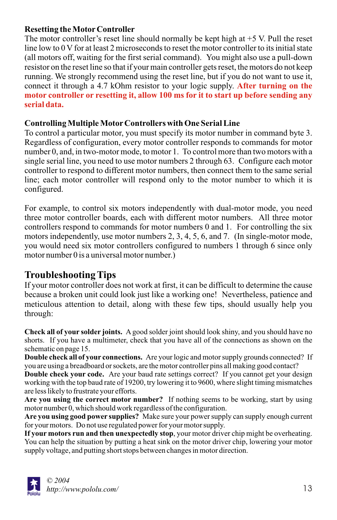#### **Resetting the MotorController**

The motor controller's reset line should normally be kept high at +5 V. Pull the reset line low to 0 V for at least 2 microseconds to reset the motor controller to its initial state (all motors off, waiting for the first serial command). You might also use a pull-down resistor on the reset line so that if your main controller gets reset, the motors do not keep running. We strongly recommend using the reset line, but if you do not want to use it, connect it through a 4.7 kOhm resistor to your logic supply. **After turning on the motor controller or resetting it, allow 100 ms for it to start up before sending any serial data.**

#### **Controlling Multiple MotorControllers with One Serial Line**

To control a particular motor, you must specify its motor number in command byte 3. Regardless of configuration, every motor controller responds to commands for motor number 0, and, in two-motor mode, to motor 1. To control more than two motors with a single serial line, you need to use motor numbers 2 through 63. Configure each motor controller to respond to different motor numbers, then connect them to the same serial line; each motor controller will respond only to the motor number to which it is configured.

For example, to control six motors independently with dual-motor mode, you need three motor controller boards, each with different motor numbers. All three motor controllers respond to commands for motor numbers 0 and 1. For controlling the six motors independently, use motor numbers 2, 3, 4, 5, 6, and 7. (In single-motor mode, you would need six motor controllers configured to numbers 1 through 6 since only motor number 0 is a universal motor number.)

## **Troubleshooting Tips**

If your motor controller does not work at first, it can be difficult to determine the cause because a broken unit could look just like a working one! Nevertheless, patience and meticulous attention to detail, along with these few tips, should usually help you through:

**Check all of your solder joints.** Agood solder joint should look shiny, and you should have no shorts. If you have a multimeter, check that you have all of the connections as shown on the schematic on page 15.

**Double check all of your connections.** Are your logic and motor supply grounds connected? If you are using a breadboard or sockets, are the motor controller pins all making good contact?

**Double check your code.** Are your baud rate settings correct? If you cannot get your design working with the top baud rate of 19200, try lowering it to 9600, where slight timing mismatches are less likely to frustrate your efforts.

**Are you using the correct motor number?** If nothing seems to be working, start by using motor number 0, which should work regardless of the configuration.

**Are you using good power supplies?** Make sure your power supply can supply enough current for your motors. Do not use regulated power for your motor supply.

**If your motors run and then unexpectedly stop**, your motor driver chip might be overheating. You can help the situation by putting a heat sink on the motor driver chip, lowering your motor supply voltage, and putting short stops between changes in motor direction.

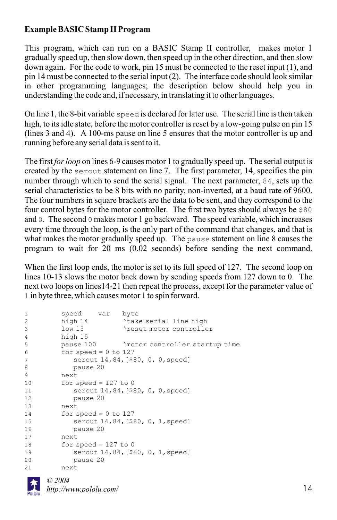#### **Example BASIC Stamp II Program**

This program, which can run on a BASIC Stamp II controller, makes motor 1 gradually speed up, then slow down, then speed up in the other direction, and then slow down again. For the code to work, pin 15 must be connected to the reset input (1), and pin 14 must be connected to the serial input (2). The interface code should look similar in other programming languages; the description below should help you in understanding the code and, if necessary, in translating it to other languages.

On line 1, the 8-bit variable speed is declared for later use. The serial line is then taken high, to its idle state, before the motor controller is reset by a low-going pulse on pin 15 (lines 3 and 4). A 100-ms pause on line 5 ensures that the motor controller is up and running before any serial data is sent to it.

The first *for loop* on lines 6-9 causes motor 1 to gradually speed up. The serial output is created by the serout statement on line 7. The first parameter, 14, specifies the pin number through which to send the serial signal. The next parameter, 84, sets up the serial characteristics to be 8 bits with no parity, non-inverted, at a baud rate of 9600. The four numbers in square brackets are the data to be sent, and they correspond to the four control bytes for the motor controller. The first two bytes should always be \$80 and 0. The second 0 makes motor 1 go backward. The speed variable, which increases every time through the loop, is the only part of the command that changes, and that is what makes the motor gradually speed up. The pause statement on line 8 causes the program to wait for 20 ms (0.02 seconds) before sending the next command.

When the first loop ends, the motor is set to its full speed of 127. The second loop on lines 10-13 slows the motor back down by sending speeds from 127 down to 0. The next two loops on lines14-21 then repeat the process, except for the parameter value of 1 in byte three, which causes motor 1 to spin forward.

| 1                     | speed var byte         |                                          |
|-----------------------|------------------------|------------------------------------------|
| $\mathbf{2}^{\prime}$ | high 14                | 'take serial line high                   |
| 3                     | $1$ ow $15$            | 'reset motor controller                  |
| $\overline{4}$        | high 15                |                                          |
| 5                     |                        | pause 100 Mnotor controller startup time |
| 6                     | for speed = $0$ to 127 |                                          |
| $\overline{7}$        |                        | serout 14,84, [\$80, 0, 0, speed]        |
| 8                     | pause 20               |                                          |
| 9                     | next                   |                                          |
| 10                    | for speed = $127$ to 0 |                                          |
| 11                    |                        | serout 14,84, [\$80, 0, 0, speed]        |
| 12                    | pause 20               |                                          |
| 13                    | next.                  |                                          |
| 14                    | for speed = $0$ to 127 |                                          |
| 15                    |                        | serout 14,84, [\$80, 0, 1, speed]        |
| 16                    | pause 20               |                                          |
| 17                    | next.                  |                                          |
| 18                    | for speed = $127$ to 0 |                                          |
| 19                    |                        | serout 14,84, [\$80, 0, 1, speed]        |
| 20                    | pause 20               |                                          |
| 21                    | next                   |                                          |

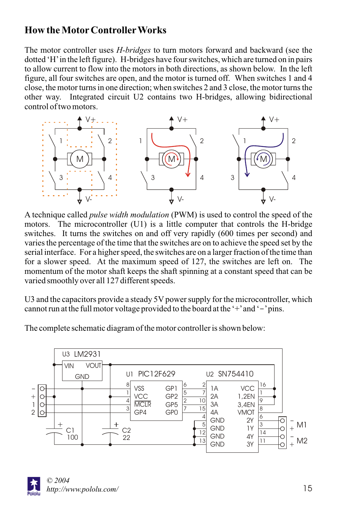## **How the MotorControllerWorks**

The motor controller uses *H-bridges* to turn motors forward and backward (see the dotted 'H'in the left figure). H-bridges have four switches, which are turned on in pairs to allow current to flow into the motors in both directions, as shown below. In the left figure, all four switches are open, and the motor is turned off. When switches 1 and 4 close, the motor turns in one direction; when switches 2 and 3 close, the motor turns the other way. Integrated circuit U2 contains two H-bridges, allowing bidirectional control of two motors.



A technique called *pulse width modulation* (PWM) is used to control the speed of the motors. The microcontroller (U1) is a little computer that controls the H-bridge switches. It turns the switches on and off very rapidly (600 times per second) and varies the percentage of the time that the switches are on to achieve the speed set by the serial interface. For a higher speed, the switches are on a larger fraction of the time than for a slower speed. At the maximum speed of 127, the switches are left on. The momentum of the motor shaft keeps the shaft spinning at a constant speed that can be varied smoothly over all 127 different speeds.

U3 and the capacitors provide a steady 5V power supply for the microcontroller, which cannot run at the full motor voltage provided to the board at the '+' and '-' pins.

The complete schematic diagram of the motor controller is shown below: